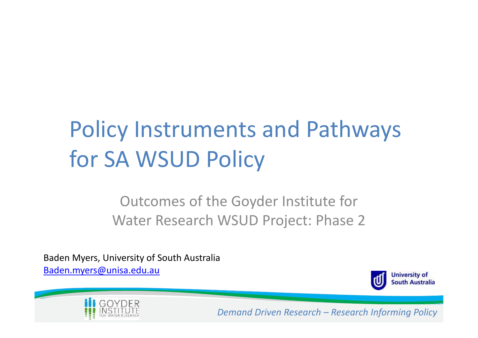# Policy Instruments and Pathways for SA WSUD Policy

Outcomes of the Goyder Institute for Water Research WSUD Project: Phase 2

Baden Myers, University of South Australia Baden.myers@unisa.edu.au



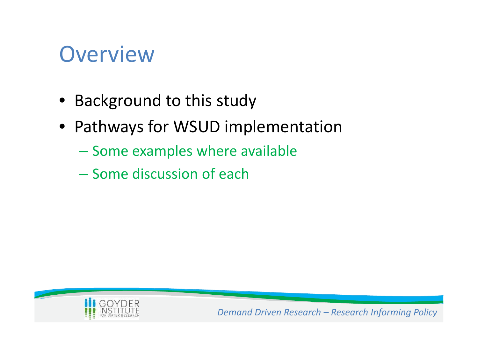### **Overview**

- Background to this study
- Pathways for WSUD implementation
	- Some examples where available
	- Some discussion of each

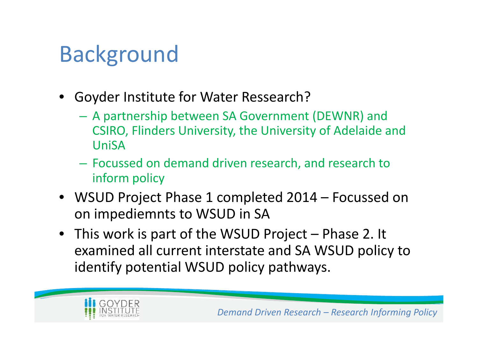### Background

- Goyder Institute for Water Ressearch?
	- A partnership between SA Government (DEWNR) and CSIRO, Flinders University, the University of Adelaide and UniSA
	- Focussed on demand driven research, and research to inform policy
- WSUD Project Phase 1 completed 2014 Focussed on on impediemnts to WSUD in SA
- This work is part of the WSUD Project Phase 2. It examined all current interstate and SA WSUD policy to identify potential WSUD policy pathways.

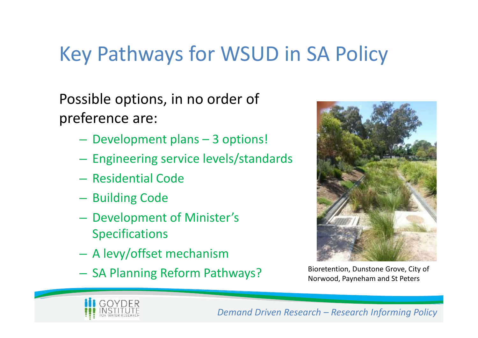### Key Pathways for WSUD in SA Policy

Possible options, in no order of preference are:

- Development plans 3 options!
- Engineering service levels/standards
- Residential Code
- Building Code
- Development of Minister's Specifications
- A levy/offset mechanism
- SA Planning Reform Pathways? Bioretention, Dunstone Grove, City of



Norwood, Payneham and St Peters

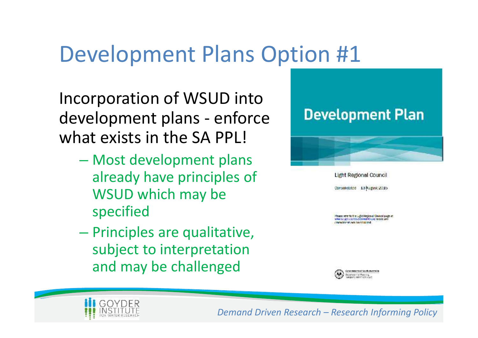### Development Plans Option #1

Incorporation of WSUD into<br>development plans - enforce Development Plan development plans - enforce what exists in the SA PPL!

- Most development plans already have principles of WSUD which may be specified
- Principles are qualitative, subject to interpretation and may be challenged



**Light Regional Council** Consolidated 13 August 2015

-<br>Hease refer to the Light Hegional Wouncil page at:<br>www.sci.gov.cluvelevelco.arcmo.und.to.see any mendments out onesolidated



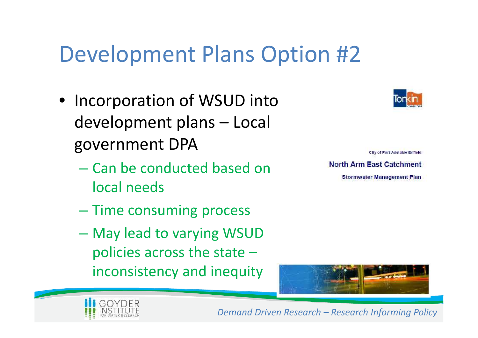### Development Plans Option #2

- Incorporation of WSUD into development plans – Local government DPA
	- Can be conducted based on local needs
	- Time consuming process
	- May lead to varying WSUD policies across the state – inconsistency and inequity



City of Port Adelaide Enfield **Stormwater Management Plan** 



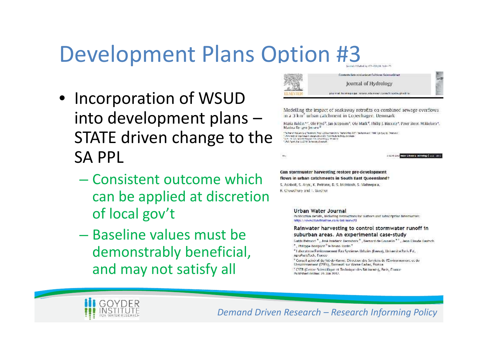# Development Plans Option #3

- Incorporation of WSUD<br>Modelling the impact of soakaway retrofits on combined sewage overflows in to development plans – in a 3 km<sup>3</sup> urban catchment in Copenhagen. Denmark **Struck Steen Mikkelsen** STATE driven change to the SA PPL
	- Gan stormwater harvesting restore pre-development<br>
	Consistent outcome which is a storm water harvesting restore pre-development<br>
	S. Asubott, S. Asubott, S. Avenues, B. S. Melmash, S. Mahavepara. can be applied at discretion of local gov't
	- Rainwater harvesting to control stormwater runoff in<br>
	Salim Baseline values in the suburban areas. An experimental case-study<br>
	Althons Homes Cause is Cause in Claus Claus Claus Claus Claus Claus Claus Claus Claus Claus Cla demonstrably beneficial, and may not satisfy all



 $\mathbf{w}_i$ 

a como será propositivo a propositivo I a 22 millos.

### Urban Water Journal

Publication details, including instructions for authors and subscription information: http://www.tandtonline.com/lof/nurw20

<sup>2</sup> Laboratoria Environmencial Fau-Systèmes Urbains (Lecsa), Université Paris Fst, AgroParisTech, France

<sup>16</sup> Conseil acror al du Val-de-Marne. Direction des Services de l'Environnement et de EAssainissement (DSEA), Bonneuil sur Marne Cedex, France.

<sup>5</sup> CSTB (Centre Scientifique et Technique des Bâtiments), Paris, France Published online: 76 Jan 2017.

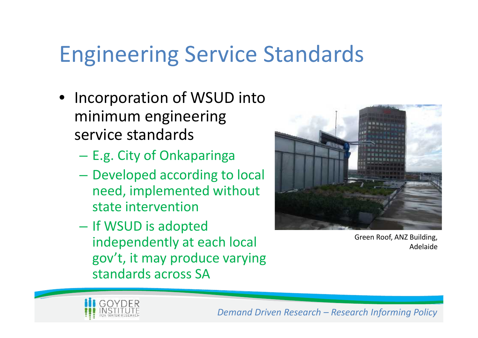### Engineering Service Standards

- Incorporation of WSUD into minimum engineering service standards
	- E.g. City of Onkaparinga
	- Developed according to local need, implemented without state intervention
	- If WSUD is adopted independently at each local gov't, it may produce varying standards across SA



Green Roof, ANZ Building, Adelaide

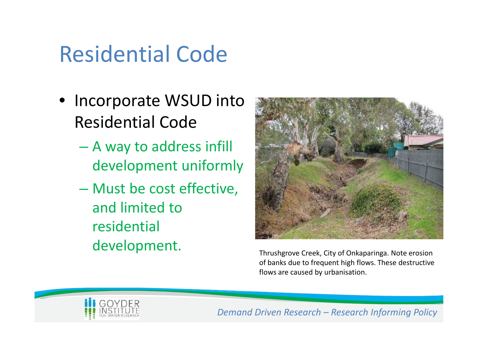# Residential Code

- Incorporate WSUD into Residential Code
	- A way to address infill development uniformly
	- Must be cost effective, and limited to residential development.<br>
	Thrushgrove Creek, City of Onkaparinga. Note erosion



of banks due to frequent high flows. These destructive flows are caused by urbanisation.

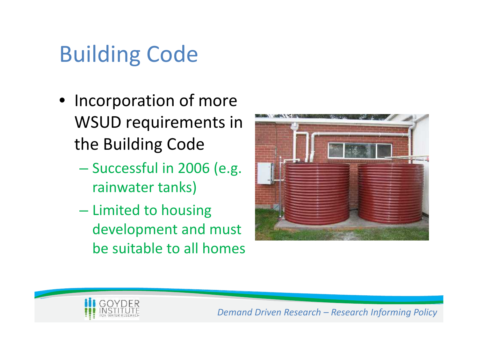# Building Code

- Incorporation of more WSUD requirements in the Building Code
	- Successful in 2006 (e.g. rainwater tanks)
	- Limited to housing development and must be suitable to all homes



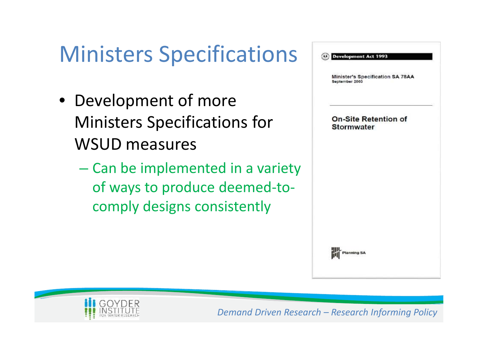# Ministers Specifications **Concernance**

- Development of more Ministers Specifications for WSUD measures
	- Can be implemented in a variety of ways to produce deemed-to comply designs consistently



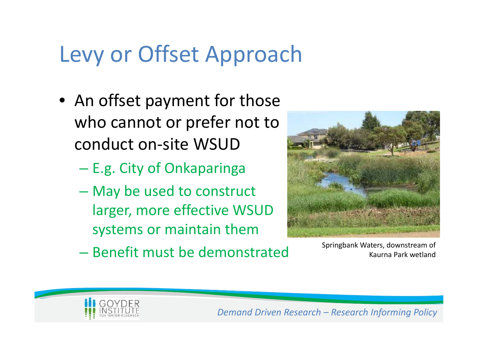## Levy or Offset Approach

- An offset payment for those who cannot or prefer not to conduct on-site WSUD
	- E.g. City of Onkaparinga
	- May be used to construct larger, more effective WSUD systems or maintain them
	- Benefit must be demonstrated Springbank Waters, downstream of



Kaurna Park wetland

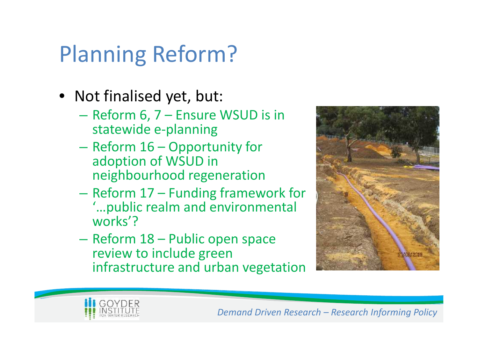# Planning Reform?

- Not finalised yet, but:
	- Reform 6, 7 Ensure WSUD is in statewide e-planning
	- Reform 16 Opportunity for adoption of WSUD in neighbourhood regeneration
	- Reform 17 Funding framework for '…public realm and environmental works'?
	- Reform 18 Public open space review to include green infrastructure and urban vegetation